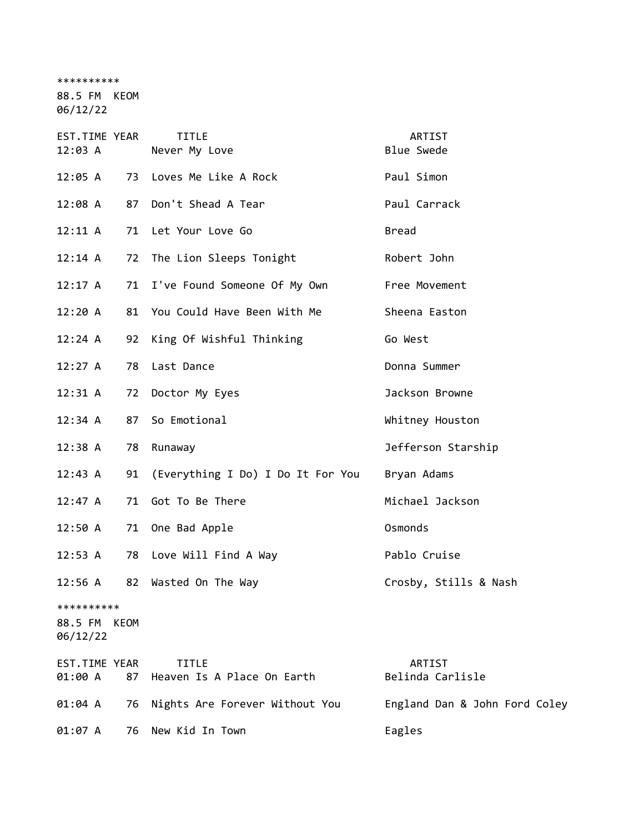\*\*\*\*\*\*\*\*\*\*

88.5 FM KEOM

06/12/22

| EST.TIME YEAR<br>12:03 A               |    | <b>TITLE</b><br>Never My Love              | ARTIST<br><b>Blue Swede</b>   |
|----------------------------------------|----|--------------------------------------------|-------------------------------|
| 12:05 A                                |    | 73 Loves Me Like A Rock                    | Paul Simon                    |
| 12:08A                                 | 87 | Don't Shead A Tear                         | Paul Carrack                  |
| 12:11 A                                |    | 71 Let Your Love Go                        | <b>Bread</b>                  |
| 12:14 A                                |    | 72 The Lion Sleeps Tonight                 | Robert John                   |
| 12:17 A                                | 71 | I've Found Someone Of My Own               | Free Movement                 |
| 12:20 A                                |    | 81 You Could Have Been With Me             | Sheena Easton                 |
| 12:24 A                                | 92 | King Of Wishful Thinking                   | Go West                       |
| 12:27 A                                | 78 | Last Dance                                 | Donna Summer                  |
| 12:31 A                                | 72 | Doctor My Eyes                             | Jackson Browne                |
| 12:34 A                                | 87 | So Emotional                               | Whitney Houston               |
| 12:38 A                                | 78 | Runaway                                    | Jefferson Starship            |
| 12:43 A                                | 91 | (Everything I Do) I Do It For You          | Bryan Adams                   |
| 12:47 A                                | 71 | Got To Be There                            | Michael Jackson               |
| 12:50A                                 | 71 | One Bad Apple                              | Osmonds                       |
| 12:53 A                                |    | 78 Love Will Find A Way                    | Pablo Cruise                  |
| 12:56 A                                | 82 | Wasted On The Way                          | Crosby, Stills & Nash         |
| **********<br>88.5 FM KEOM<br>06/12/22 |    |                                            |                               |
| EST.TIME YEAR<br>01:00 A               | 87 | <b>TITLE</b><br>Heaven Is A Place On Earth | ARTIST<br>Belinda Carlisle    |
| 01:04 A                                | 76 | Nights Are Forever Without You             | England Dan & John Ford Coley |
| 01:07 A                                | 76 | New Kid In Town                            | Eagles                        |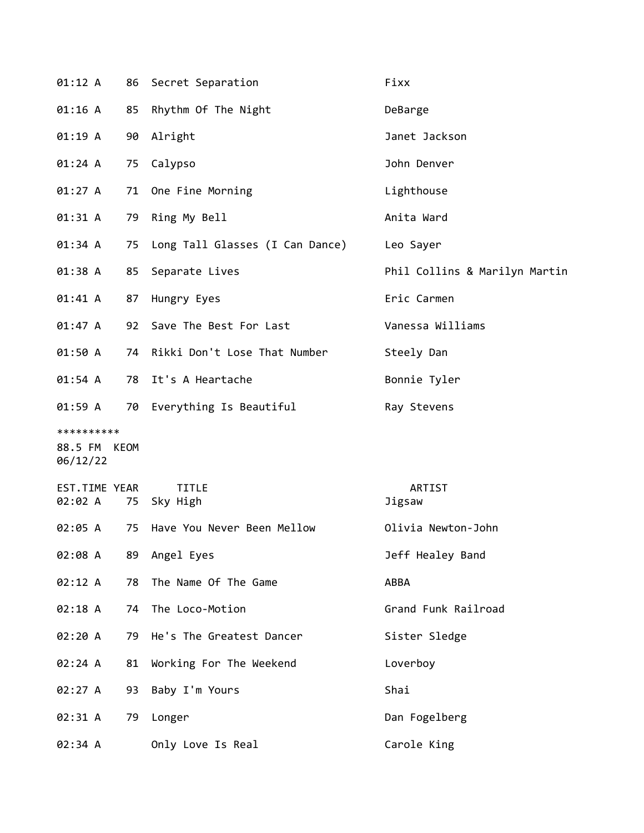| 01:12 A                                |    | 86 Secret Separation               | Fixx                          |
|----------------------------------------|----|------------------------------------|-------------------------------|
| $01:16$ A                              |    | 85 Rhythm Of The Night             | DeBarge                       |
| 01:19 A                                |    | 90 Alright                         | Janet Jackson                 |
| 01:24 A                                | 75 | Calypso                            | John Denver                   |
| 01:27 A                                |    | 71 One Fine Morning                | Lighthouse                    |
| 01:31 A                                | 79 | Ring My Bell                       | Anita Ward                    |
| 01:34 A                                |    | 75 Long Tall Glasses (I Can Dance) | Leo Sayer                     |
| 01:38 A                                | 85 | Separate Lives                     | Phil Collins & Marilyn Martin |
| 01:41 A                                | 87 | Hungry Eyes                        | Eric Carmen                   |
| 01:47 A                                |    | 92 Save The Best For Last          | Vanessa Williams              |
| 01:50 A                                |    | 74 Rikki Don't Lose That Number    | Steely Dan                    |
| 01:54 A                                | 78 | It's A Heartache                   | Bonnie Tyler                  |
| 01:59 A                                |    | 70 Everything Is Beautiful         | Ray Stevens                   |
|                                        |    |                                    |                               |
| **********<br>88.5 FM KEOM<br>06/12/22 |    |                                    |                               |
| EST.TIME YEAR<br>02:02 A               |    | <b>TITLE</b><br>75 Sky High        | ARTIST<br>Jigsaw              |
| 02:05 A                                |    | 75 Have You Never Been Mellow      | Olivia Newton-John            |
| 02:08 A                                |    | 89 Angel Eyes                      | Jeff Healey Band              |
| 02:12 A                                | 78 | The Name Of The Game               | ABBA                          |
| 02:18 A                                | 74 | The Loco-Motion                    | Grand Funk Railroad           |
| 02:20 A                                |    | 79 He's The Greatest Dancer        | Sister Sledge                 |
| 02:24 A                                | 81 | Working For The Weekend            | Loverboy                      |
| 02:27 A                                | 93 | Baby I'm Yours                     | Shai                          |
| 02:31 A                                | 79 | Longer                             | Dan Fogelberg                 |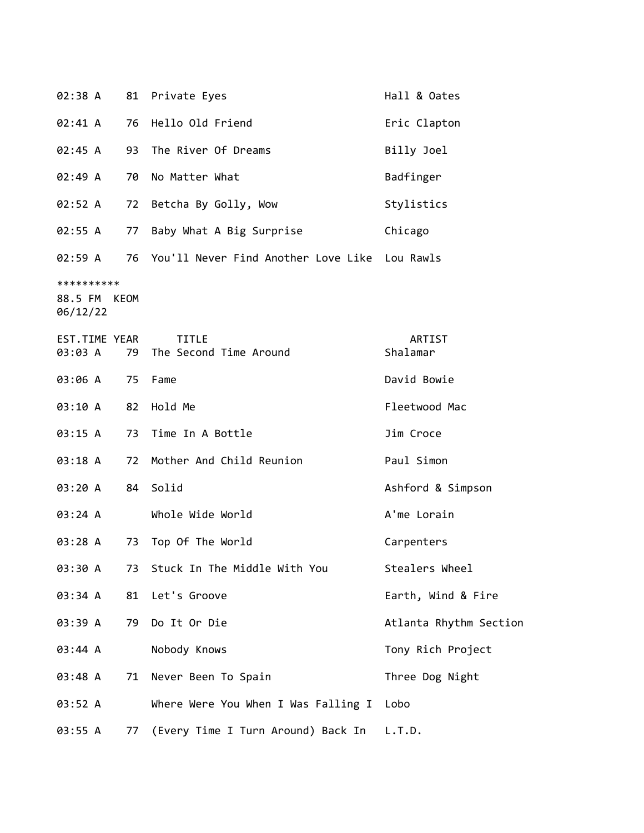| 02:38 A       |    | 81 Private Eyes                               | Hall & Oates           |
|---------------|----|-----------------------------------------------|------------------------|
| 02:41 A       | 76 | Hello Old Friend                              | Eric Clapton           |
| 02:45 A       | 93 | The River Of Dreams                           | Billy Joel             |
| 02:49 A       | 70 | No Matter What                                | Badfinger              |
| 02:52 A       | 72 | Betcha By Golly, Wow                          | Stylistics             |
| 02:55 A       | 77 | Baby What A Big Surprise                      | Chicago                |
| 02:59 A       | 76 | You'll Never Find Another Love Like Lou Rawls |                        |
| **********    |    |                                               |                        |
| 88.5 FM KEOM  |    |                                               |                        |
| 06/12/22      |    |                                               |                        |
|               |    |                                               |                        |
| EST.TIME YEAR |    | <b>TITLE</b>                                  | ARTIST                 |
| 03:03 A       | 79 | The Second Time Around                        | Shalamar               |
| 03:06 A       | 75 | Fame                                          | David Bowie            |
| 03:10 A       | 82 | Hold Me                                       | Fleetwood Mac          |
| 03:15 A       | 73 | Time In A Bottle                              | Jim Croce              |
| 03:18 A       | 72 | Mother And Child Reunion                      | Paul Simon             |
| 03:20 A       |    | 84 Solid                                      | Ashford & Simpson      |
| 03:24 A       |    | Whole Wide World                              | A'me Lorain            |
| 03:28 A       | 73 | Top Of The World                              | Carpenters             |
| 03:30 A       | 73 | Stuck In The Middle With You                  | Stealers Wheel         |
| 03:34 A       | 81 | Let's Groove                                  | Earth, Wind & Fire     |
| 03:39 A       | 79 | Do It Or Die                                  | Atlanta Rhythm Section |
| 03:44 A       |    | Nobody Knows                                  | Tony Rich Project      |
| 03:48 A       | 71 | Never Been To Spain                           | Three Dog Night        |
| 03:52 A       |    | Where Were You When I Was Falling I           | Lobo                   |
| 03:55 A       | 77 | (Every Time I Turn Around) Back In            | L.T.D.                 |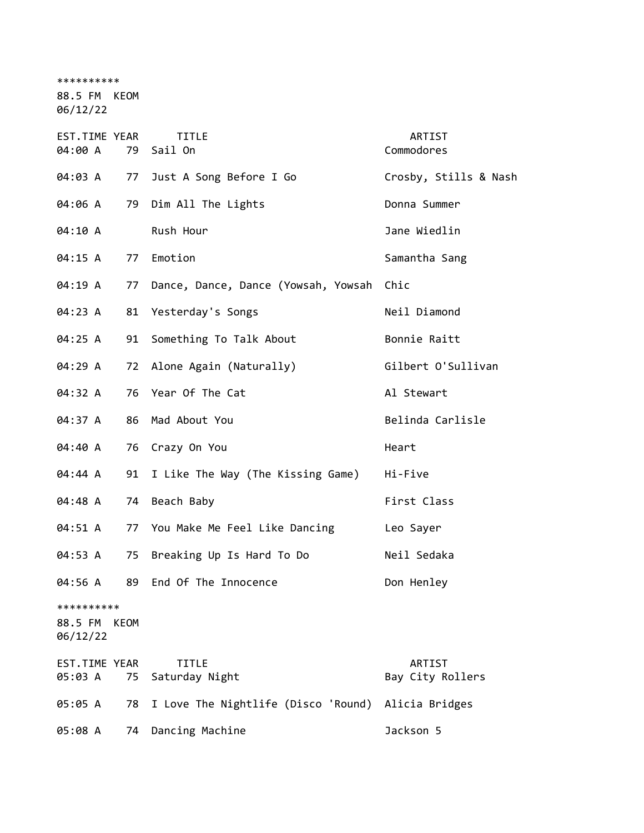\*\*\*\*\*\*\*\*\*\* 88.5 FM KEOM 06/12/22 EST.TIME YEAR TITLE THE REST.TIME YEAR 04:00 A 79 Sail On Commodores 04:03 A 77 Just A Song Before I Go Crosby, Stills & Nash 04:06 A 79 Dim All The Lights **Donna** Summer 04:10 A Rush Hour Contract Contract Manual Dane Wiedlin 04:15 A 77 Emotion Samantha Sang 04:19 A 77 Dance, Dance, Dance (Yowsah, Yowsah Chic 04:23 A 81 Yesterday's Songs Neil Diamond 04:25 A 91 Something To Talk About Bonnie Raitt 04:29 A 72 Alone Again (Naturally) Gilbert O'Sullivan 04:32 A 76 Year Of The Cat Al Stewart 04:37 A 86 Mad About You **Belinda Carlisle** 04:40 A 76 Crazy On You **Heart** 04:44 A 91 I Like The Way (The Kissing Game) Hi-Five 04:48 A 74 Beach Baby **First Class** 04:51 A 77 You Make Me Feel Like Dancing Leo Sayer 04:53 A 75 Breaking Up Is Hard To Do Neil Sedaka 04:56 A 89 End Of The Innocence Don Henley \*\*\*\*\*\*\*\*\*\* 88.5 FM KEOM 06/12/22 EST.TIME YEAR TITLE ARTIST 05:03 A 75 Saturday Night Bay City Rollers 05:05 A 78 I Love The Nightlife (Disco 'Round) Alicia Bridges 05:08 A 74 Dancing Machine Jackson 5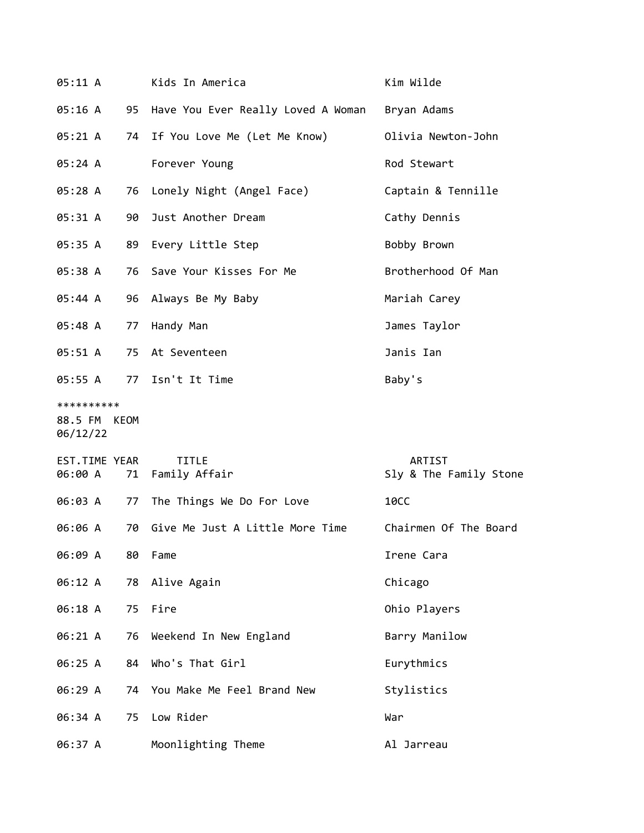| 05:11 A                  |    | Kids In America                       | Kim Wilde                        |
|--------------------------|----|---------------------------------------|----------------------------------|
| 05:16 A                  |    | 95 Have You Ever Really Loved A Woman | Bryan Adams                      |
| 05:21 A                  |    | 74 If You Love Me (Let Me Know)       | Olivia Newton-John               |
| 05:24 A                  |    | Forever Young                         | Rod Stewart                      |
| 05:28 A                  | 76 | Lonely Night (Angel Face)             | Captain & Tennille               |
| 05:31 A                  | 90 | Just Another Dream                    | Cathy Dennis                     |
| 05:35 A                  |    | 89 Every Little Step                  | Bobby Brown                      |
| 05:38 A                  |    | 76 Save Your Kisses For Me            | Brotherhood Of Man               |
| 05:44 A                  |    | 96 Always Be My Baby                  | Mariah Carey                     |
| 05:48 A                  | 77 | Handy Man                             | James Taylor                     |
| 05:51 A                  |    | 75 At Seventeen                       | Janis Ian                        |
| 05:55 A                  |    | 77 Isn't It Time                      | Baby's                           |
| **********               |    |                                       |                                  |
| 88.5 FM KEOM<br>06/12/22 |    |                                       |                                  |
| EST.TIME YEAR<br>06:00 A |    | <b>TITLE</b><br>71 Family Affair      | ARTIST<br>Sly & The Family Stone |
| 06:03 A                  | 77 | The Things We Do For Love             | <b>10CC</b>                      |
| 06:06 A                  |    | 70 Give Me Just A Little More Time    | Chairmen Of The Board            |
| 06:09 A                  | 80 | Fame                                  | Irene Cara                       |
| 06:12 A                  | 78 | Alive Again                           | Chicago                          |
| 06:18 A                  | 75 | Fire                                  | Ohio Players                     |
| 06:21 A                  | 76 | Weekend In New England                | Barry Manilow                    |
| 06:25 A                  | 84 | Who's That Girl                       | Eurythmics                       |
| 06:29 A                  | 74 | You Make Me Feel Brand New            | Stylistics                       |
| 06:34 A                  | 75 | Low Rider                             | War                              |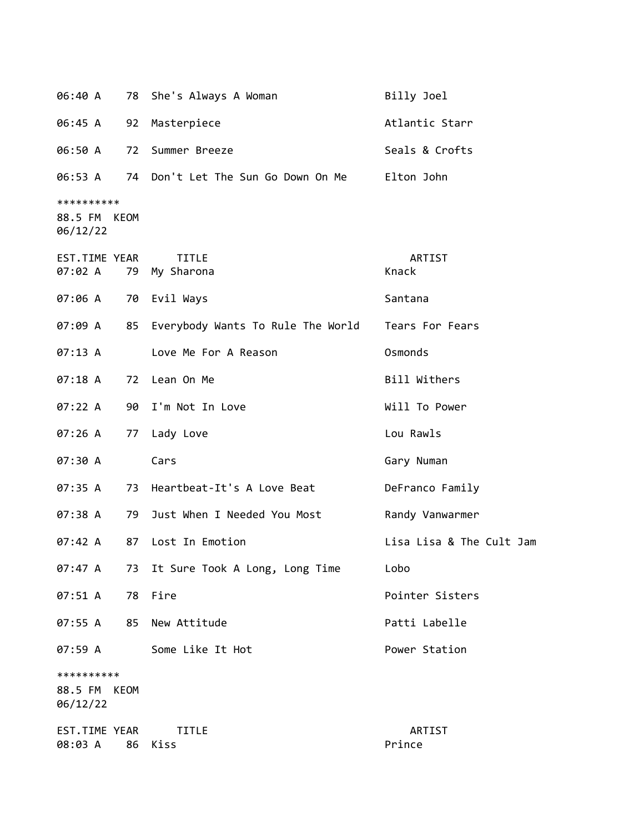| 06:40 A                           |      | 78 She's Always A Woman                       | Billy Joel               |
|-----------------------------------|------|-----------------------------------------------|--------------------------|
| 06:45 A                           | 92   | Masterpiece                                   | Atlantic Starr           |
| 06:50 A                           | 72   | Summer Breeze                                 | Seals & Crofts           |
| 06:53 A                           |      | 74 Don't Let The Sun Go Down On Me Elton John |                          |
| **********<br>88.5 FM<br>06/12/22 | KEOM |                                               |                          |
| EST.TIME YEAR<br>07:02 A          |      | <b>TITLE</b><br>79 My Sharona                 | ARTIST<br>Knack          |
| 07:06 A                           |      | 70 Evil Ways                                  | Santana                  |
| 07:09 A                           | 85   | Everybody Wants To Rule The World             | Tears For Fears          |
| 07:13 A                           |      | Love Me For A Reason                          | Osmonds                  |
| 07:18A                            | 72   | Lean On Me                                    | Bill Withers             |
| 07:22 A                           |      | 90 I'm Not In Love                            | Will To Power            |
| 07:26 A                           | 77   | Lady Love                                     | Lou Rawls                |
| 07:30 A                           |      | Cars                                          | Gary Numan               |
| 07:35 A                           |      | 73 Heartbeat-It's A Love Beat                 | DeFranco Family          |
| 07:38 A                           | 79   | Just When I Needed You Most                   | Randy Vanwarmer          |
| 07:42 A                           | 87   | Lost In Emotion                               | Lisa Lisa & The Cult Jam |
| 07:47 A                           | 73   | It Sure Took A Long, Long Time                | Lobo                     |
| 07:51 A                           | 78   | Fire                                          | Pointer Sisters          |
| 07:55 A                           | 85   | New Attitude                                  | Patti Labelle            |
| 07:59 A                           |      | Some Like It Hot                              | Power Station            |
| **********<br>88.5 FM<br>06/12/22 | KEOM |                                               |                          |
| EST.TIME YEAR<br>08:03 A          | 86   | <b>TITLE</b><br>Kiss                          | ARTIST<br>Prince         |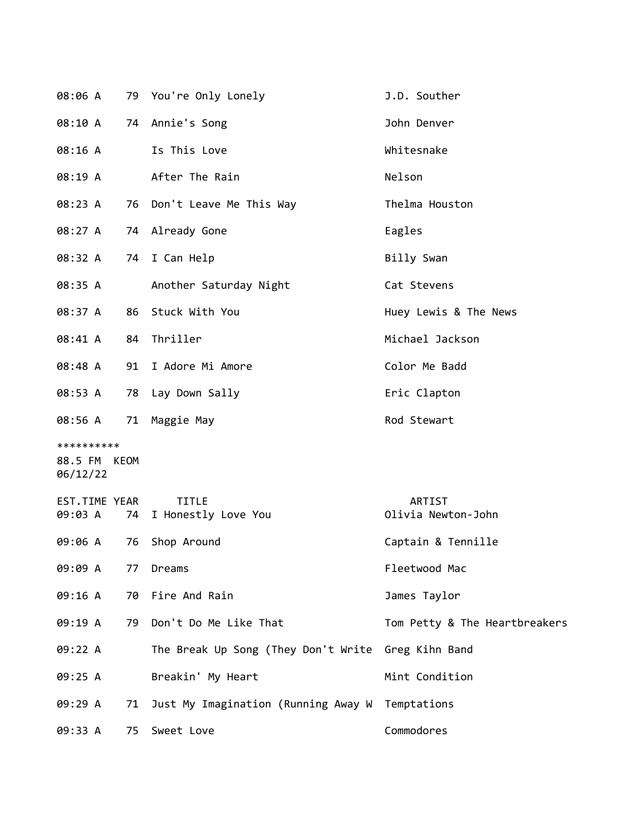|                          |    | 08:06 A 79 You're Only Lonely                      | J.D. Souther                  |
|--------------------------|----|----------------------------------------------------|-------------------------------|
|                          |    | 08:10 A 74 Annie's Song                            | John Denver                   |
| 08:16 A                  |    | Is This Love                                       | Whitesnake                    |
| 08:19 A                  |    | After The Rain                                     | Nelson                        |
| 08:23 A                  |    | 76 Don't Leave Me This Way                         | Thelma Houston                |
| 08:27 A                  |    | 74 Already Gone                                    | Eagles                        |
|                          |    | 08:32 A 74 I Can Help                              | Billy Swan                    |
| 08:35 A                  |    | Another Saturday Night                             | Cat Stevens                   |
| 08:37 A                  |    | 86 Stuck With You                                  | Huey Lewis & The News         |
| 08:41 A                  |    | 84 Thriller                                        | Michael Jackson               |
| 08:48 A                  |    | 91 I Adore Mi Amore                                | Color Me Badd                 |
| 08:53 A                  |    | 78 Lay Down Sally                                  | Eric Clapton                  |
|                          |    | 08:56 A 71 Maggie May                              | Rod Stewart                   |
| **********               |    |                                                    |                               |
| 88.5 FM KEOM<br>06/12/22 |    |                                                    |                               |
| EST.TIME YEAR            |    | <b>TITLE</b>                                       | ARTIST                        |
|                          |    | 09:03 A 74 I Honestly Love You                     | Olivia Newton-John            |
| 09:06 A                  | 76 | Shop Around                                        | Captain & Tennille            |
| 09:09 A                  | 77 | Dreams                                             | Fleetwood Mac                 |
| 09:16 A                  |    | 70 Fire And Rain                                   | James Taylor                  |
| 09:19 A                  | 79 | Don't Do Me Like That                              | Tom Petty & The Heartbreakers |
| 09:22 A                  |    | The Break Up Song (They Don't Write Greg Kihn Band |                               |
| 09:25 A                  |    | Breakin' My Heart                                  | Mint Condition                |
| 09:29 A                  | 71 | Just My Imagination (Running Away W                | Temptations                   |
| 09:33 A                  | 75 | Sweet Love                                         | Commodores                    |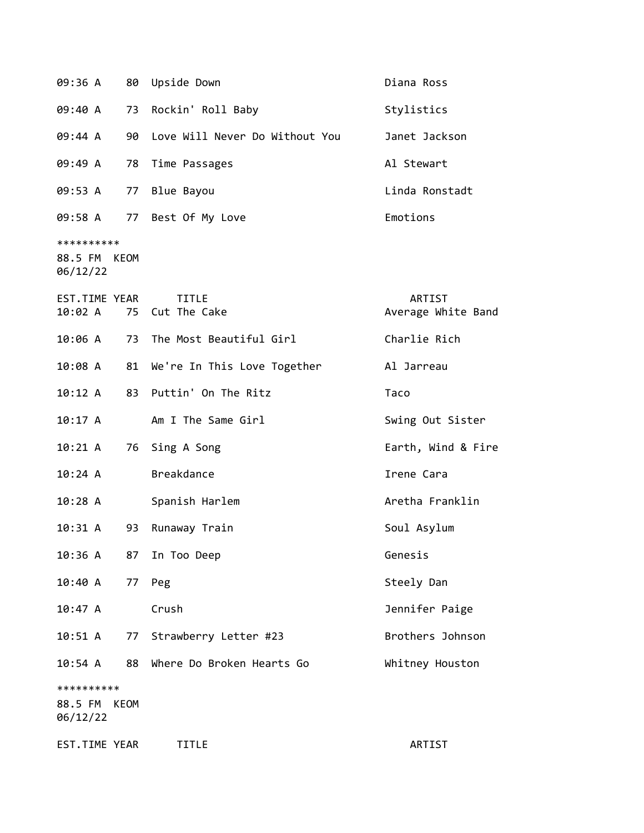|                                        |    | 09:36 A 80 Upside Down          | Diana Ross                   |
|----------------------------------------|----|---------------------------------|------------------------------|
| 09:40 A                                | 73 | Rockin' Roll Baby               | Stylistics                   |
| 09:44 A                                | 90 | Love Will Never Do Without You  | Janet Jackson                |
| 09:49 A                                | 78 | Time Passages                   | Al Stewart                   |
| 09:53 A                                |    | 77 Blue Bayou                   | Linda Ronstadt               |
|                                        |    | 09:58 A 77 Best Of My Love      | Emotions                     |
| **********<br>88.5 FM KEOM<br>06/12/22 |    |                                 |                              |
| EST.TIME YEAR<br>10:02 A               |    | <b>TITLE</b><br>75 Cut The Cake | ARTIST<br>Average White Band |
| 10:06 A                                | 73 | The Most Beautiful Girl         | Charlie Rich                 |
| 10:08 A                                |    | 81 We're In This Love Together  | Al Jarreau                   |
| 10:12 A                                |    | 83 Puttin' On The Ritz          | Taco                         |
| 10:17 A                                |    | Am I The Same Girl              | Swing Out Sister             |
| 10:21 A                                |    | 76 Sing A Song                  | Earth, Wind & Fire           |
| 10:24 A                                |    | <b>Breakdance</b>               | Irene Cara                   |
| 10:28 A                                |    | Spanish Harlem                  | Aretha Franklin              |
| 10:31 A                                | 93 | Runaway Train                   | Soul Asylum                  |
| 10:36 A 87                             |    | In Too Deep                     | Genesis                      |
| 10:40 A                                | 77 | Peg                             | Steely Dan                   |
| 10:47 A                                |    | Crush                           | Jennifer Paige               |
| 10:51 A                                | 77 | Strawberry Letter #23           | Brothers Johnson             |
| 10:54 A                                | 88 | Where Do Broken Hearts Go       | Whitney Houston              |
| **********                             |    |                                 |                              |
| 88.5 FM KEOM<br>06/12/22               |    |                                 |                              |
| EST.TIME YEAR                          |    | <b>TITLE</b>                    | ARTIST                       |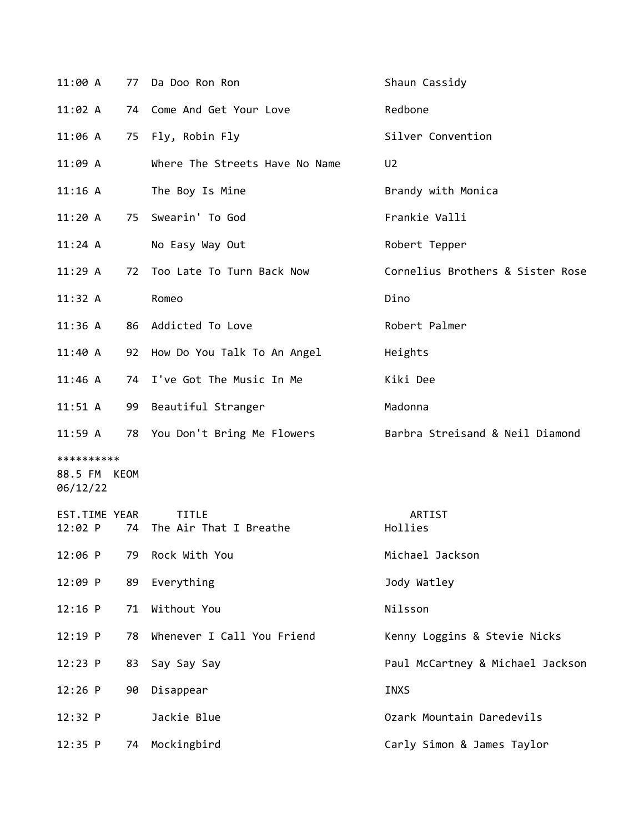| 11:00 A                                | 77 | Da Doo Ron Ron                         | Shaun Cassidy                    |
|----------------------------------------|----|----------------------------------------|----------------------------------|
| 11:02 A                                | 74 | Come And Get Your Love                 | Redbone                          |
| 11:06 A                                |    | 75 Fly, Robin Fly                      | Silver Convention                |
| 11:09 A                                |    | Where The Streets Have No Name         | U <sub>2</sub>                   |
| 11:16 A                                |    | The Boy Is Mine                        | Brandy with Monica               |
| 11:20A                                 | 75 | Swearin' To God                        | Frankie Valli                    |
| 11:24 A                                |    | No Easy Way Out                        | Robert Tepper                    |
| 11:29A                                 | 72 | Too Late To Turn Back Now              | Cornelius Brothers & Sister Rose |
| 11:32 A                                |    | Romeo                                  | Dino                             |
| 11:36A                                 |    | 86 Addicted To Love                    | Robert Palmer                    |
| 11:40 A                                |    | 92 How Do You Talk To An Angel         | Heights                          |
| 11:46 A                                | 74 | I've Got The Music In Me               | Kiki Dee                         |
| 11:51 A                                | 99 | Beautiful Stranger                     | Madonna                          |
| $11:59$ A                              |    | 78 You Don't Bring Me Flowers          | Barbra Streisand & Neil Diamond  |
| **********<br>88.5 FM KEOM<br>06/12/22 |    |                                        |                                  |
| EST.TIME YEAR<br>12:02 P               | 74 | <b>TITLE</b><br>The Air That I Breathe | ARTIST<br>Hollies                |
| 12:06 P                                | 79 | Rock With You                          | Michael Jackson                  |
| 12:09 P                                | 89 | Everything                             | Jody Watley                      |
| $12:16$ P                              | 71 | Without You                            | Nilsson                          |
| $12:19$ P                              | 78 | Whenever I Call You Friend             | Kenny Loggins & Stevie Nicks     |
| 12:23 P                                | 83 | Say Say Say                            | Paul McCartney & Michael Jackson |
| 12:26 P                                | 90 | Disappear                              | <b>INXS</b>                      |
| 12:32 P                                |    | Jackie Blue                            | Ozark Mountain Daredevils        |
| 12:35 P                                | 74 | Mockingbird                            | Carly Simon & James Taylor       |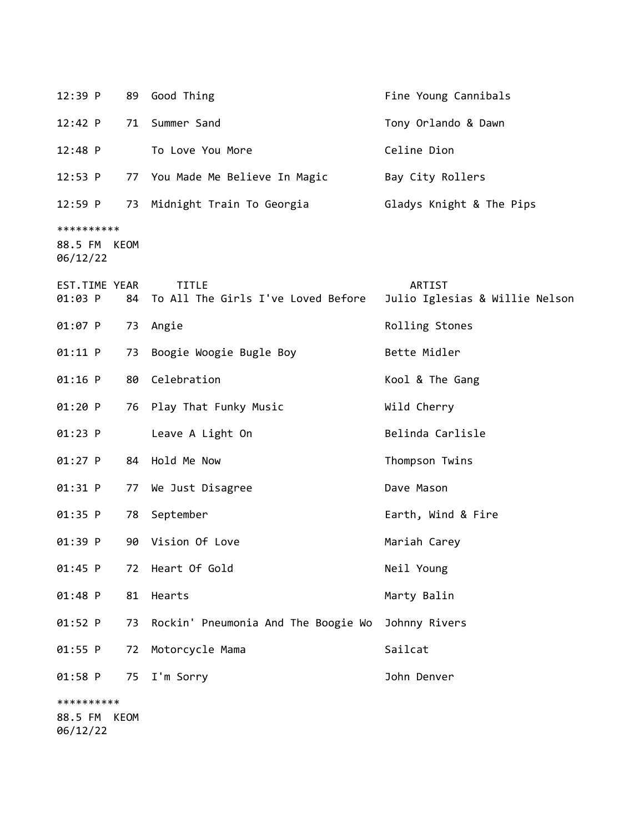| 12:39 P                                |    | 89 Good Thing                                      | Fine Young Cannibals                     |
|----------------------------------------|----|----------------------------------------------------|------------------------------------------|
| 12:42 P                                | 71 | Summer Sand                                        | Tony Orlando & Dawn                      |
| $12:48$ P                              |    | To Love You More                                   | Celine Dion                              |
| 12:53 P                                |    | 77 You Made Me Believe In Magic                    | Bay City Rollers                         |
| $12:59$ P                              |    | 73 Midnight Train To Georgia                       | Gladys Knight & The Pips                 |
| **********<br>88.5 FM KEOM<br>06/12/22 |    |                                                    |                                          |
| EST.TIME YEAR<br>01:03 P               | 84 | <b>TITLE</b><br>To All The Girls I've Loved Before | ARTIST<br>Julio Iglesias & Willie Nelson |
| $01:07$ P                              |    | 73 Angie                                           | Rolling Stones                           |
| 01:11 P                                | 73 | Boogie Woogie Bugle Boy                            | Bette Midler                             |
| $01:16$ P                              | 80 | Celebration                                        | Kool & The Gang                          |
| 01:20 P                                | 76 | Play That Funky Music                              | Wild Cherry                              |
| $01:23$ P                              |    | Leave A Light On                                   | Belinda Carlisle                         |
| $01:27$ P                              | 84 | Hold Me Now                                        | Thompson Twins                           |
| 01:31 P                                | 77 | We Just Disagree                                   | Dave Mason                               |
| 01:35 P                                | 78 | September                                          | Earth, Wind & Fire                       |
| 01:39 P                                | 90 | Vision Of Love                                     | Mariah Carey                             |
| 01:45 P                                | 72 | Heart Of Gold                                      | Neil Young                               |
| 01:48 P                                | 81 | Hearts                                             | Marty Balin                              |
| 01:52 P                                | 73 | Rockin' Pneumonia And The Boogie Wo                | Johnny Rivers                            |
| 01:55 P                                | 72 | Motorcycle Mama                                    | Sailcat                                  |
| $01:58$ P                              | 75 | I'm Sorry                                          | John Denver                              |
| **********                             |    |                                                    |                                          |
| 88.5 FM KEOM<br>06/12/22               |    |                                                    |                                          |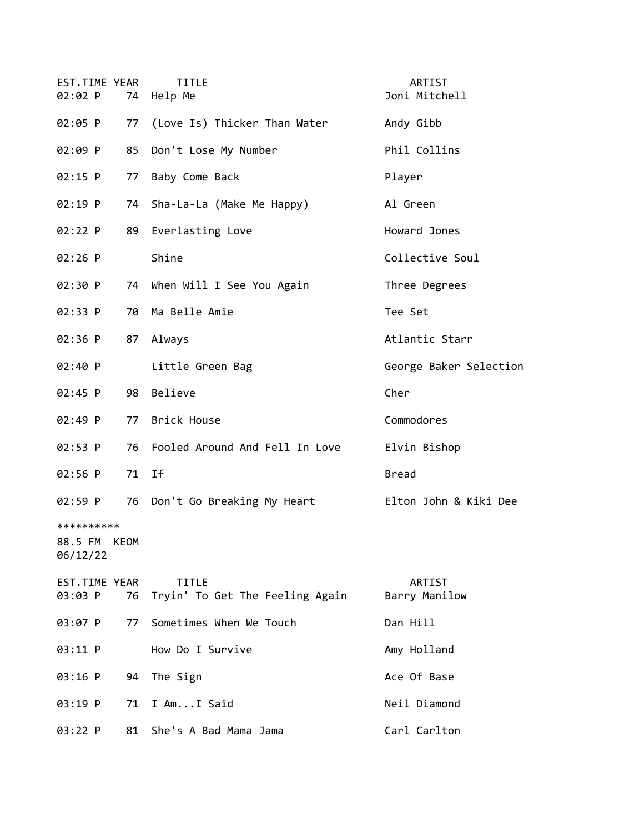| EST.TIME YEAR<br>02:02 P          |       | <b>TITLE</b><br>74 Help Me                         | ARTIST<br>Joni Mitchell |
|-----------------------------------|-------|----------------------------------------------------|-------------------------|
| 02:05 P                           |       | 77 (Love Is) Thicker Than Water                    | Andy Gibb               |
| 02:09 P                           |       | 85 Don't Lose My Number                            | Phil Collins            |
| 02:15 P                           | 77    | Baby Come Back                                     | Player                  |
| 02:19 P                           | 74    | Sha-La-La (Make Me Happy)                          | Al Green                |
| 02:22 P                           | 89    | Everlasting Love                                   | Howard Jones            |
| 02:26 P                           |       | Shine                                              | Collective Soul         |
| 02:30 P                           |       | 74 When Will I See You Again                       | Three Degrees           |
| 02:33 P                           |       | 70 Ma Belle Amie                                   | Tee Set                 |
| 02:36 P                           |       | 87 Always                                          | Atlantic Starr          |
| 02:40 P                           |       | Little Green Bag                                   | George Baker Selection  |
| 02:45 P                           | 98    | Believe                                            | Cher                    |
| 02:49 P                           |       | 77 Brick House                                     | Commodores              |
| 02:53 P                           |       | 76 Fooled Around And Fell In Love                  | Elvin Bishop            |
| 02:56 P                           | 71 If |                                                    | <b>Bread</b>            |
| 02:59 P                           |       | 76 Don't Go Breaking My Heart                      | Elton John & Kiki Dee   |
| **********<br>88.5 FM<br>06/12/22 | KEOM  |                                                    |                         |
| EST.TIME YEAR<br>03:03 P          |       | <b>TITLE</b><br>76 Tryin' To Get The Feeling Again | ARTIST<br>Barry Manilow |
| 03:07 P                           | 77    | Sometimes When We Touch                            | Dan Hill                |
| 03:11 P                           |       | How Do I Survive                                   | Amy Holland             |
| 03:16 P                           | 94    | The Sign                                           | Ace Of Base             |
| 03:19 P                           | 71    | I AmI Said                                         | Neil Diamond            |
| 03:22 P                           | 81    | She's A Bad Mama Jama                              | Carl Carlton            |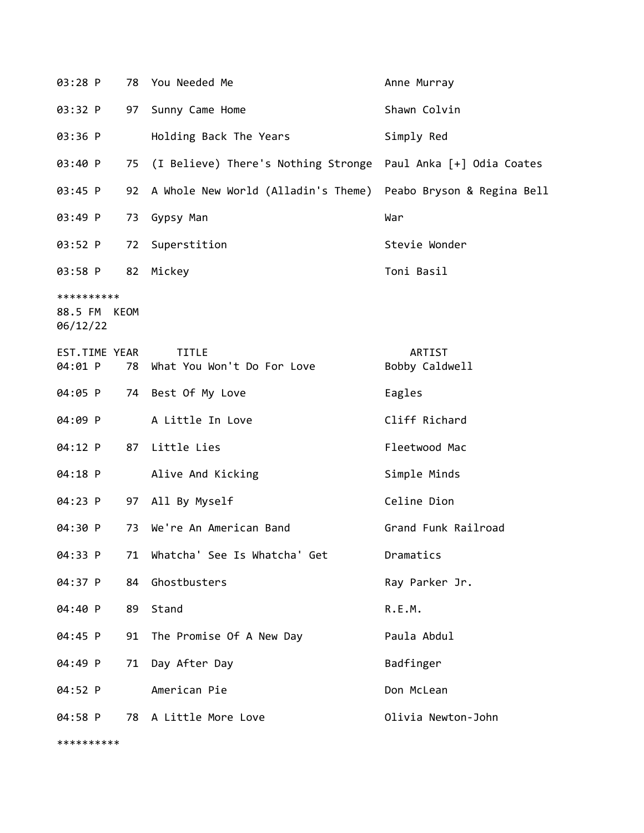| 03:28 P                           | 78   | You Needed Me                              | Anne Murray                |
|-----------------------------------|------|--------------------------------------------|----------------------------|
| 03:32 P                           | 97   | Sunny Came Home                            | Shawn Colvin               |
| 03:36 P                           |      | Holding Back The Years                     | Simply Red                 |
| 03:40 P                           | 75   | (I Believe) There's Nothing Stronge        | Paul Anka [+] Odia Coates  |
| 03:45 P                           | 92   | A Whole New World (Alladin's Theme)        | Peabo Bryson & Regina Bell |
| 03:49 P                           | 73   | Gypsy Man                                  | War                        |
| 03:52 P                           | 72   | Superstition                               | Stevie Wonder              |
| 03:58 P                           | 82   | Mickey                                     | Toni Basil                 |
| **********<br>88.5 FM<br>06/12/22 | KEOM |                                            |                            |
| EST.TIME YEAR<br>04:01 P          | 78   | <b>TITLE</b><br>What You Won't Do For Love | ARTIST<br>Bobby Caldwell   |
| 04:05 P                           | 74   | Best Of My Love                            | Eagles                     |
| 04:09 P                           |      | A Little In Love                           | Cliff Richard              |
| 04:12 P                           | 87   | Little Lies                                | Fleetwood Mac              |
| 04:18 P                           |      | Alive And Kicking                          | Simple Minds               |
| 04:23 P                           | 97   | All By Myself                              | Celine Dion                |
| 04:30 P                           | 73   | We're An American Band                     | Grand Funk Railroad        |
| 04:33 P                           | 71   | Whatcha' See Is Whatcha' Get               | Dramatics                  |
| 04:37 P                           | 84   | Ghostbusters                               | Ray Parker Jr.             |
| 04:40 P                           | 89   | Stand                                      | R.E.M.                     |
| 04:45 P                           | 91   | The Promise Of A New Day                   | Paula Abdul                |
| 04:49 P                           | 71   | Day After Day                              | Badfinger                  |
| 04:52 P                           |      | American Pie                               | Don McLean                 |
| 04:58 P                           |      | 78 A Little More Love                      | Olivia Newton-John         |
| **********                        |      |                                            |                            |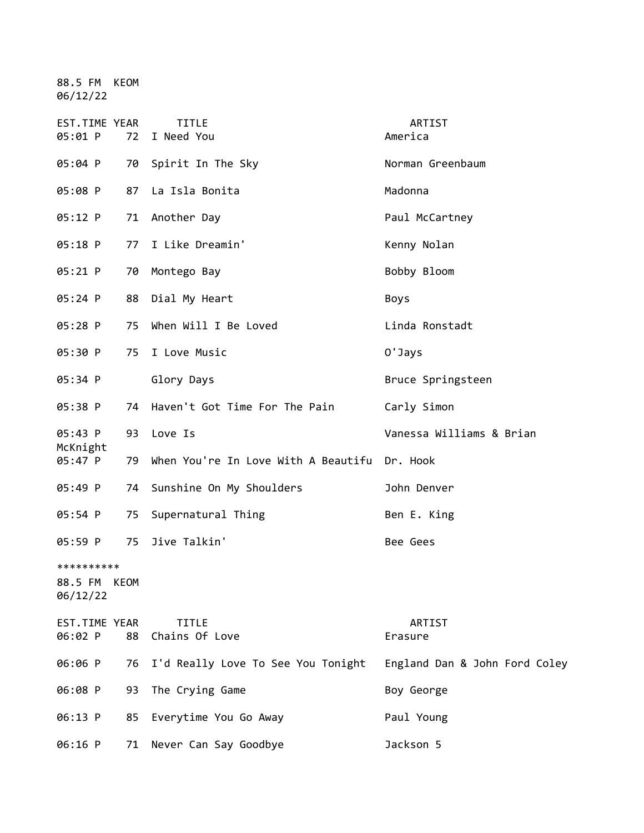88.5 FM KEOM 06/12/22

| EST.TIME YEAR<br>05:01 P               | 72 | <b>TITLE</b><br>I Need You                   | ARTIST<br>America             |
|----------------------------------------|----|----------------------------------------------|-------------------------------|
| 05:04 P                                |    | 70 Spirit In The Sky                         | Norman Greenbaum              |
| 05:08 P                                |    | 87 La Isla Bonita                            | Madonna                       |
| 05:12 P                                | 71 | Another Day                                  | Paul McCartney                |
| 05:18 P                                | 77 | I Like Dreamin'                              | Kenny Nolan                   |
| 05:21 P                                | 70 | Montego Bay                                  | Bobby Bloom                   |
| 05:24 P                                |    | 88 Dial My Heart                             | Boys                          |
| 05:28 P                                | 75 | When Will I Be Loved                         | Linda Ronstadt                |
| 05:30 P                                | 75 | I Love Music                                 | 0'Jays                        |
| 05:34 P                                |    | Glory Days                                   | Bruce Springsteen             |
| 05:38 P                                |    | 74 Haven't Got Time For The Pain             | Carly Simon                   |
| 05:43 P<br>McKnight                    | 93 | Love Is                                      | Vanessa Williams & Brian      |
| 05:47 P                                | 79 | When You're In Love With A Beautifu Dr. Hook |                               |
| 05:49 P                                |    | 74 Sunshine On My Shoulders                  | John Denver                   |
| 05:54 P                                | 75 | Supernatural Thing                           | Ben E. King                   |
| 05:59 P                                | 75 | Jive Talkin'                                 | Bee Gees                      |
| **********<br>88.5 FM KEOM<br>06/12/22 |    |                                              |                               |
| EST.TIME YEAR<br>06:02 P               | 88 | <b>TITLE</b><br>Chains Of Love               | ARTIST<br>Erasure             |
| 06:06 P                                |    | 76 I'd Really Love To See You Tonight        | England Dan & John Ford Coley |
| 06:08 P                                | 93 | The Crying Game                              | Boy George                    |
| 06:13 P                                | 85 | Everytime You Go Away                        | Paul Young                    |
| 06:16 P                                | 71 | Never Can Say Goodbye                        | Jackson 5                     |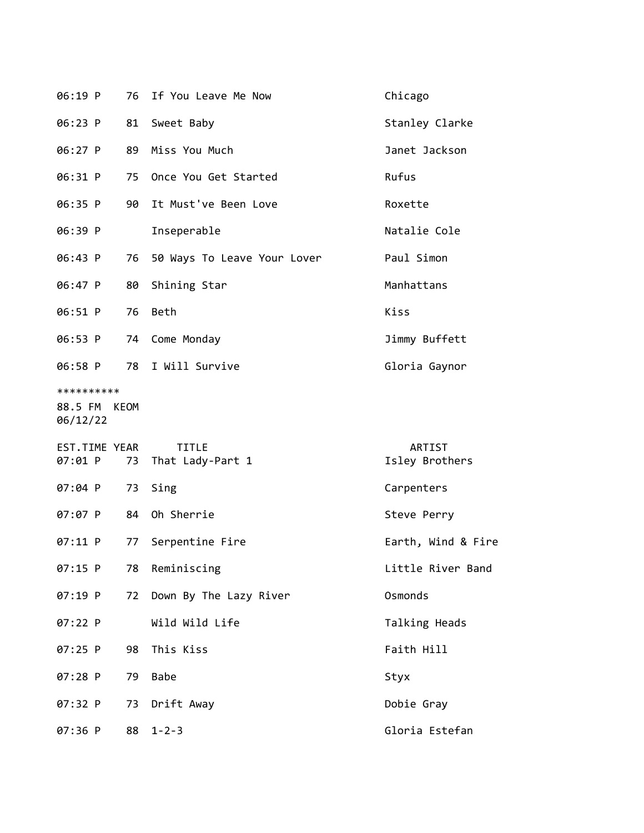| 06:19 P                                |    | 76 If You Leave Me Now           | Chicago                  |
|----------------------------------------|----|----------------------------------|--------------------------|
| 06:23 P                                | 81 | Sweet Baby                       | Stanley Clarke           |
| $06:27$ P                              | 89 | Miss You Much                    | Janet Jackson            |
| 06:31 P                                | 75 | Once You Get Started             | Rufus                    |
| 06:35 P                                | 90 | It Must've Been Love             | Roxette                  |
| 06:39 P                                |    | Inseperable                      | Natalie Cole             |
| 06:43 P                                | 76 | 50 Ways To Leave Your Lover      | Paul Simon               |
| 06:47 P                                | 80 | Shining Star                     | Manhattans               |
| 06:51 P                                | 76 | Beth                             | Kiss                     |
| 06:53 P                                | 74 | Come Monday                      | Jimmy Buffett            |
| 06:58 P                                |    | 78 I Will Survive                | Gloria Gaynor            |
| **********<br>88.5 FM KEOM<br>06/12/22 |    |                                  |                          |
| EST.TIME YEAR<br>07:01 P               | 73 | <b>TITLE</b><br>That Lady-Part 1 | ARTIST<br>Isley Brothers |
| $07:04$ P                              | 73 | Sing                             | Carpenters               |
| 07:07 P                                | 84 | Oh Sherrie                       | Steve Perry              |
| 07:11 P                                | 77 | Serpentine Fire                  | Earth, Wind & Fire       |
| 07:15 P                                |    | 78 Reminiscing                   | Little River Band        |
| $07:19$ P                              | 72 | Down By The Lazy River           | Osmonds                  |
| 07:22 P                                |    | Wild Wild Life                   | Talking Heads            |
| 07:25 P                                | 98 | This Kiss                        | Faith Hill               |
| $07:28$ P                              | 79 | Babe                             | Styx                     |
| 07:32 P                                | 73 | Drift Away                       | Dobie Gray               |
| 07:36 P                                | 88 | $1 - 2 - 3$                      | Gloria Estefan           |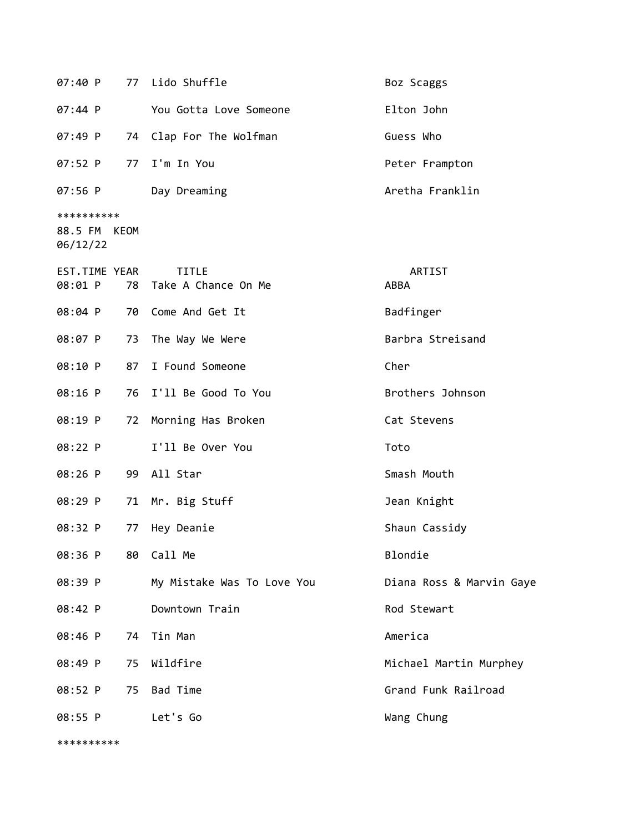|                                        |    | 07:40 P 77 Lido Shuffle                | Boz Scaggs               |
|----------------------------------------|----|----------------------------------------|--------------------------|
| 07:44 P                                |    | You Gotta Love Someone                 | Elton John               |
| 07:49 P                                |    | 74 Clap For The Wolfman                | Guess Who                |
| 07:52 P                                |    | 77 I'm In You                          | Peter Frampton           |
| 07:56 P                                |    | Day Dreaming                           | Aretha Franklin          |
| **********<br>88.5 FM KEOM<br>06/12/22 |    |                                        |                          |
| EST.TIME YEAR<br>08:01 P               |    | <b>TITLE</b><br>78 Take A Chance On Me | ARTIST<br>ABBA           |
| 08:04 P                                | 70 | Come And Get It                        | Badfinger                |
| 08:07 P                                |    | 73 The Way We Were                     | Barbra Streisand         |
| 08:10 P                                |    | 87 I Found Someone                     | Cher                     |
| 08:16 P                                | 76 | I'll Be Good To You                    | Brothers Johnson         |
| 08:19 P                                | 72 | Morning Has Broken                     | Cat Stevens              |
| 08:22 P                                |    | I'll Be Over You                       | Toto                     |
| 08:26 P                                | 99 | All Star                               | Smash Mouth              |
| 08:29 P                                | 71 | Mr. Big Stuff                          | Jean Knight              |
| 08:32 P                                | 77 | Hey Deanie                             | Shaun Cassidy            |
| 08:36 P                                | 80 | Call Me                                | Blondie                  |
| 08:39 P                                |    | My Mistake Was To Love You             | Diana Ross & Marvin Gaye |
| 08:42 P                                |    | Downtown Train                         | Rod Stewart              |
| 08:46 P                                | 74 | Tin Man                                | America                  |
| 08:49 P                                | 75 | Wildfire                               | Michael Martin Murphey   |
| 08:52 P                                |    | 75 Bad Time                            | Grand Funk Railroad      |
| 08:55 P                                |    | Let's Go                               | Wang Chung               |
| **********                             |    |                                        |                          |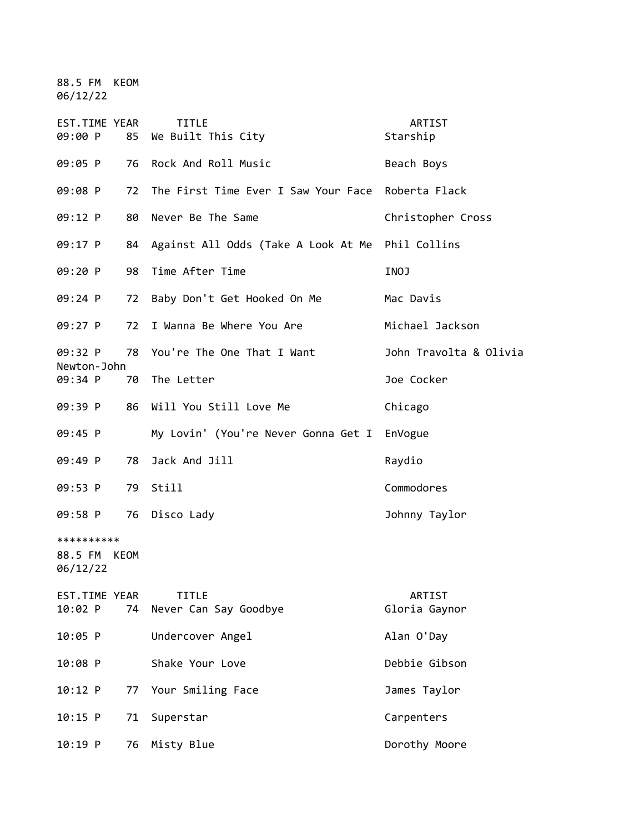88.5 FM KEOM 06/12/22

| <b>EST.TIME YEAR</b><br>09:00 P        | 85 | <b>TITLE</b><br>We Built This City    | ARTIST<br>Starship      |
|----------------------------------------|----|---------------------------------------|-------------------------|
| 09:05 P                                | 76 | Rock And Roll Music                   | Beach Boys              |
| 09:08 P                                | 72 | The First Time Ever I Saw Your Face   | Roberta Flack           |
| 09:12 P                                | 80 | Never Be The Same                     | Christopher Cross       |
| 09:17 P                                | 84 | Against All Odds (Take A Look At Me   | Phil Collins            |
| 09:20 P                                | 98 | Time After Time                       | INOJ                    |
| 09:24 P                                | 72 | Baby Don't Get Hooked On Me           | Mac Davis               |
| 09:27 P                                | 72 | I Wanna Be Where You Are              | Michael Jackson         |
| 09:32 P                                | 78 | You're The One That I Want            | John Travolta & Olivia  |
| Newton-John<br>09:34 P                 | 70 | The Letter                            | Joe Cocker              |
| 09:39 P                                | 86 | Will You Still Love Me                | Chicago                 |
| 09:45 P                                |    | My Lovin' (You're Never Gonna Get I   | EnVogue                 |
| 09:49 P                                | 78 | Jack And Jill                         | Raydio                  |
| 09:53 P                                | 79 | Still                                 | Commodores              |
| 09:58 P                                | 76 | Disco Lady                            | Johnny Taylor           |
| **********<br>88.5 FM KEOM<br>06/12/22 |    |                                       |                         |
| EST.TIME YEAR<br>10:02 P               | 74 | <b>TITLE</b><br>Never Can Say Goodbye | ARTIST<br>Gloria Gaynor |
| 10:05 P                                |    | Undercover Angel                      | Alan O'Day              |
| 10:08 P                                |    | Shake Your Love                       | Debbie Gibson           |
| 10:12 P                                | 77 | Your Smiling Face                     | James Taylor            |
| 10:15 P                                | 71 | Superstar                             | Carpenters              |
| 10:19 P                                | 76 | Misty Blue                            | Dorothy Moore           |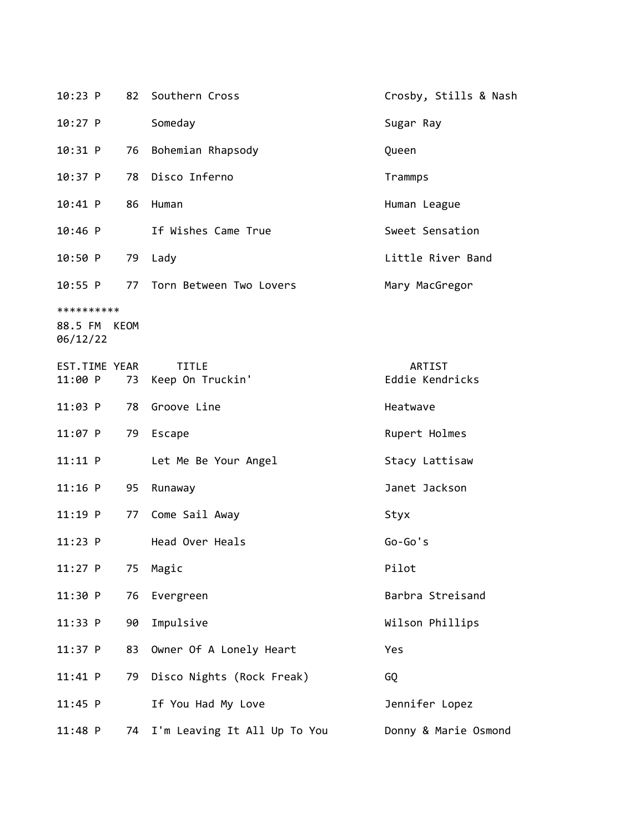| $10:23$ P                |    | 82 Southern Cross                | Crosby, Stills & Nash     |
|--------------------------|----|----------------------------------|---------------------------|
| $10:27$ P                |    | Someday                          | Sugar Ray                 |
| 10:31 P                  | 76 | Bohemian Rhapsody                | Queen                     |
| $10:37$ P                |    | 78 Disco Inferno                 | Trammps                   |
| $10:41$ P                | 86 | Human                            | Human League              |
| 10:46 P                  |    | If Wishes Came True              | Sweet Sensation           |
| 10:50 P                  |    | 79 Lady                          | Little River Band         |
| 10:55 P                  |    | 77 Torn Between Two Lovers       | Mary MacGregor            |
| **********               |    |                                  |                           |
| 88.5 FM KEOM<br>06/12/22 |    |                                  |                           |
| EST.TIME YEAR<br>11:00 P | 73 | <b>TITLE</b><br>Keep On Truckin' | ARTIST<br>Eddie Kendricks |
| $11:03$ P                | 78 | Groove Line                      | Heatwave                  |
| $11:07$ P                | 79 | Escape                           | Rupert Holmes             |
| 11:11 P                  |    | Let Me Be Your Angel             | Stacy Lattisaw            |
| $11:16$ P                | 95 | Runaway                          | Janet Jackson             |
| $11:19$ P                | 77 | Come Sail Away                   | Styx                      |
| $11:23$ P                |    | Head Over Heals                  | $Go-Go's$                 |
| 11:27 P                  | 75 | Magic                            | Pilot                     |
| 11:30 P                  | 76 | Evergreen                        | Barbra Streisand          |
| 11:33 P                  | 90 | Impulsive                        | Wilson Phillips           |
| $11:37$ P                | 83 | Owner Of A Lonely Heart          | Yes                       |
| 11:41 P                  | 79 | Disco Nights (Rock Freak)        | GQ                        |
| $11:45$ P                |    | If You Had My Love               | Jennifer Lopez            |
| $11:48$ P                | 74 | I'm Leaving It All Up To You     | Donny & Marie Osmond      |